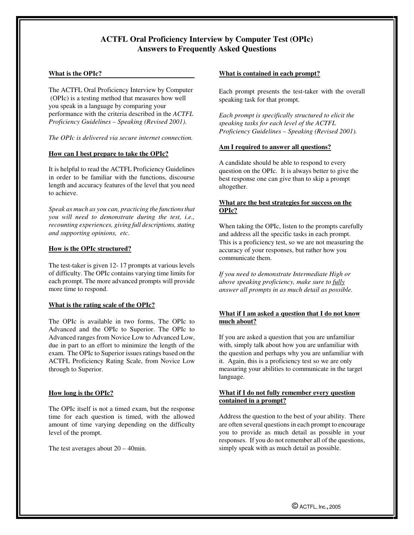# **ACTFL Oral Proficiency Interview by Computer Test (OPIc) Answers to Frequently Asked Questions**

### **What is the OPIc?**

The ACTFL Oral Proficiency Interview by Computer (OPIc) is a testing method that measures how well you speak in a language by comparing your performance with the criteria described in the *ACTFL Proficiency Guidelines – Speaking (Revised 2001)*.

*The OPIc is delivered via secure internet connection.*

### **How can I best prepare to take the OPIc?**

It is helpful to read the ACTFL Proficiency Guidelines in order to be familiar with the functions, discourse length and accuracy features of the level that you need to achieve.

*Speak as much as you can, practicing the functions that you will need to demonstrate during the test, i.e., recounting experiences, giving full descriptions, stating and supporting opinions, etc.* 

# **How is the OPIc structured?**

The test-taker is given 12- 17 prompts at various levels of difficulty. The OPIc contains varying time limits for each prompt. The more advanced prompts will provide more time to respond.

# **What is the rating scale of the OPIc?**

The OPIc is available in two forms, The OPIc to Advanced and the OPIc to Superior. The OPIc to Advanced ranges from Novice Low to Advanced Low, due in part to an effort to minimize the length of the exam. The OPIc to Superior issues ratings based on the ACTFL Proficiency Rating Scale, from Novice Low through to Superior.

### **How long is the OPIc?**

The OPIc itself is not a timed exam, but the response time for each question is timed, with the allowed amount of time varying depending on the difficulty level of the prompt.

The test averages about  $20 - 40$  min.

### **What is contained in each prompt?**

Each prompt presents the test-taker with the overall speaking task for that prompt.

*Each prompt is specifically structured to elicit the speaking tasks for each level of the ACTFL Proficiency Guidelines – Speaking (Revised 2001).* 

### **Am I required to answer all questions?**

A candidate should be able to respond to every question on the OPIc. It is always better to give the best response one can give than to skip a prompt altogether.

### **What are the best strategies for success on the OPIc?**

When taking the OPIc, listen to the prompts carefully and address all the specific tasks in each prompt. This is a proficiency test, so we are not measuring the accuracy of your responses, but rather how you communicate them.

*If you need to demonstrate Intermediate High or above speaking proficiency, make sure to fully answer all prompts in as much detail as possible.* 

# **What if I am asked a question that I do not know much about?**

If you are asked a question that you are unfamiliar with, simply talk about how you are unfamiliar with the question and perhaps why you are unfamiliar with it. Again, this is a proficiency test so we are only measuring your abilities to communicate in the target language.

### **What if I do not fully remember every question contained in a prompt?**

Address the question to the best of your ability. There are often several questions in each prompt to encourage you to provide as much detail as possible in your responses. If you do not remember all of the questions, simply speak with as much detail as possible.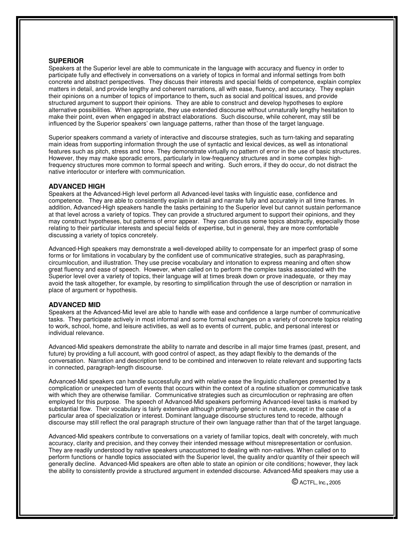### **SUPERIOR**

Speakers at the Superior level are able to communicate in the language with accuracy and fluency in order to participate fully and effectively in conversations on a variety of topics in formal and informal settings from both concrete and abstract perspectives. They discuss their interests and special fields of competence, explain complex matters in detail, and provide lengthy and coherent narrations, all with ease, fluency, and accuracy. They explain their opinions on a number of topics of importance to them**,** such as social and political issues, and provide structured argument to support their opinions. They are able to construct and develop hypotheses to explore alternative possibilities. When appropriate, they use extended discourse without unnaturally lengthy hesitation to make their point, even when engaged in abstract elaborations. Such discourse, while coherent, may still be influenced by the Superior speakers' own language patterns, rather than those of the target language.

Superior speakers command a variety of interactive and discourse strategies, such as turn-taking and separating main ideas from supporting information through the use of syntactic and lexical devices, as well as intonational features such as pitch, stress and tone. They demonstrate virtually no pattern of error in the use of basic structures. However, they may make sporadic errors, particularly in low-frequency structures and in some complex highfrequency structures more common to formal speech and writing. Such errors, if they do occur, do not distract the native interlocutor or interfere with communication.

### **ADVANCED HIGH**

Speakers at the Advanced-High level perform all Advanced-level tasks with linguistic ease, confidence and competence. They are able to consistently explain in detail and narrate fully and accurately in all time frames. In addition, Advanced-High speakers handle the tasks pertaining to the Superior level but cannot sustain performance at that level across a variety of topics. They can provide a structured argument to support their opinions, and they may construct hypotheses, but patterns of error appear. They can discuss some topics abstractly, especially those relating to their particular interests and special fields of expertise, but in general, they are more comfortable discussing a variety of topics concretely.

Advanced-High speakers may demonstrate a well-developed ability to compensate for an imperfect grasp of some forms or for limitations in vocabulary by the confident use of communicative strategies, such as paraphrasing, circumlocution, and illustration. They use precise vocabulary and intonation to express meaning and often show great fluency and ease of speech. However, when called on to perform the complex tasks associated with the Superior level over a variety of topics, their language will at times break down or prove inadequate, or they may avoid the task altogether, for example, by resorting to simplification through the use of description or narration in place of argument or hypothesis.

### **ADVANCED MID**

Speakers at the Advanced-Mid level are able to handle with ease and confidence a large number of communicative tasks. They participate actively in most informal and some formal exchanges on a variety of concrete topics relating to work, school, home, and leisure activities, as well as to events of current, public, and personal interest or individual relevance.

Advanced-Mid speakers demonstrate the ability to narrate and describe in all major time frames (past, present, and future) by providing a full account, with good control of aspect, as they adapt flexibly to the demands of the conversation. Narration and description tend to be combined and interwoven to relate relevant and supporting facts in connected, paragraph-length discourse.

Advanced-Mid speakers can handle successfully and with relative ease the linguistic challenges presented by a complication or unexpected turn of events that occurs within the context of a routine situation or communicative task with which they are otherwise familiar. Communicative strategies such as circumlocution or rephrasing are often employed for this purpose. The speech of Advanced-Mid speakers performing Advanced-level tasks is marked by substantial flow. Their vocabulary is fairly extensive although primarily generic in nature, except in the case of a particular area of specialization or interest. Dominant language discourse structures tend to recede, although discourse may still reflect the oral paragraph structure of their own language rather than that of the target language.

Advanced-Mid speakers contribute to conversations on a variety of familiar topics, dealt with concretely, with much accuracy, clarity and precision, and they convey their intended message without misrepresentation or confusion. They are readily understood by native speakers unaccustomed to dealing with non-natives. When called on to perform functions or handle topics associated with the Superior level, the quality and/or quantity of their speech will generally decline. Advanced-Mid speakers are often able to state an opinion or cite conditions; however, they lack the ability to consistently provide a structured argument in extended discourse. Advanced-Mid speakers may use a

© ACTFL, Inc.,<sup>2005</sup>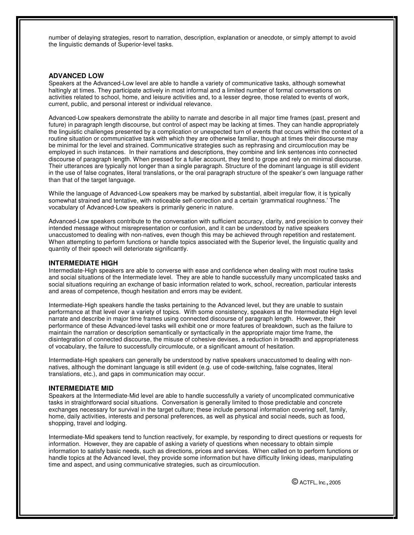number of delaying strategies, resort to narration, description, explanation or anecdote, or simply attempt to avoid the linguistic demands of Superior-level tasks.

#### **ADVANCED LOW**

Speakers at the Advanced-Low level are able to handle a variety of communicative tasks, although somewhat haltingly at times. They participate actively in most informal and a limited number of formal conversations on activities related to school, home, and leisure activities and, to a lesser degree, those related to events of work, current, public, and personal interest or individual relevance.

Advanced-Low speakers demonstrate the ability to narrate and describe in all major time frames (past, present and future) in paragraph length discourse, but control of aspect may be lacking at times. They can handle appropriately the linguistic challenges presented by a complication or unexpected turn of events that occurs within the context of a routine situation or communicative task with which they are otherwise familiar, though at times their discourse may be minimal for the level and strained. Communicative strategies such as rephrasing and circumlocution may be employed in such instances. In their narrations and descriptions, they combine and link sentences into connected discourse of paragraph length. When pressed for a fuller account, they tend to grope and rely on minimal discourse. Their utterances are typically not longer than a single paragraph. Structure of the dominant language is still evident in the use of false cognates, literal translations, or the oral paragraph structure of the speaker's own language rather than that of the target language.

While the language of Advanced-Low speakers may be marked by substantial, albeit irregular flow, it is typically somewhat strained and tentative, with noticeable self-correction and a certain 'grammatical roughness.' The vocabulary of Advanced-Low speakers is primarily generic in nature.

Advanced-Low speakers contribute to the conversation with sufficient accuracy, clarity, and precision to convey their intended message without misrepresentation or confusion, and it can be understood by native speakers unaccustomed to dealing with non-natives, even though this may be achieved through repetition and restatement. When attempting to perform functions or handle topics associated with the Superior level, the linguistic quality and quantity of their speech will deteriorate significantly.

#### **INTERMEDIATE HIGH**

Intermediate-High speakers are able to converse with ease and confidence when dealing with most routine tasks and social situations of the Intermediate level. They are able to handle successfully many uncomplicated tasks and social situations requiring an exchange of basic information related to work, school, recreation, particular interests and areas of competence, though hesitation and errors may be evident.

Intermediate-High speakers handle the tasks pertaining to the Advanced level, but they are unable to sustain performance at that level over a variety of topics. With some consistency, speakers at the Intermediate High level narrate and describe in major time frames using connected discourse of paragraph length. However, their performance of these Advanced-level tasks will exhibit one or more features of breakdown, such as the failure to maintain the narration or description semantically or syntactically in the appropriate major time frame, the disintegration of connected discourse, the misuse of cohesive devises, a reduction in breadth and appropriateness of vocabulary, the failure to successfully circumlocute, or a significant amount of hesitation.

Intermediate-High speakers can generally be understood by native speakers unaccustomed to dealing with nonnatives, although the dominant language is still evident (e.g. use of code-switching, false cognates, literal translations, etc.), and gaps in communication may occur.

#### **INTERMEDIATE MID**

Speakers at the Intermediate-Mid level are able to handle successfully a variety of uncomplicated communicative tasks in straightforward social situations. Conversation is generally limited to those predictable and concrete exchanges necessary for survival in the target culture; these include personal information covering self, family, home, daily activities, interests and personal preferences, as well as physical and social needs, such as food, shopping, travel and lodging.

Intermediate-Mid speakers tend to function reactively, for example, by responding to direct questions or requests for information. However, they are capable of asking a variety of questions when necessary to obtain simple information to satisfy basic needs, such as directions, prices and services. When called on to perform functions or handle topics at the Advanced level, they provide some information but have difficulty linking ideas, manipulating time and aspect, and using communicative strategies, such as circumlocution.

© ACTFL, Inc.,<sup>2005</sup>